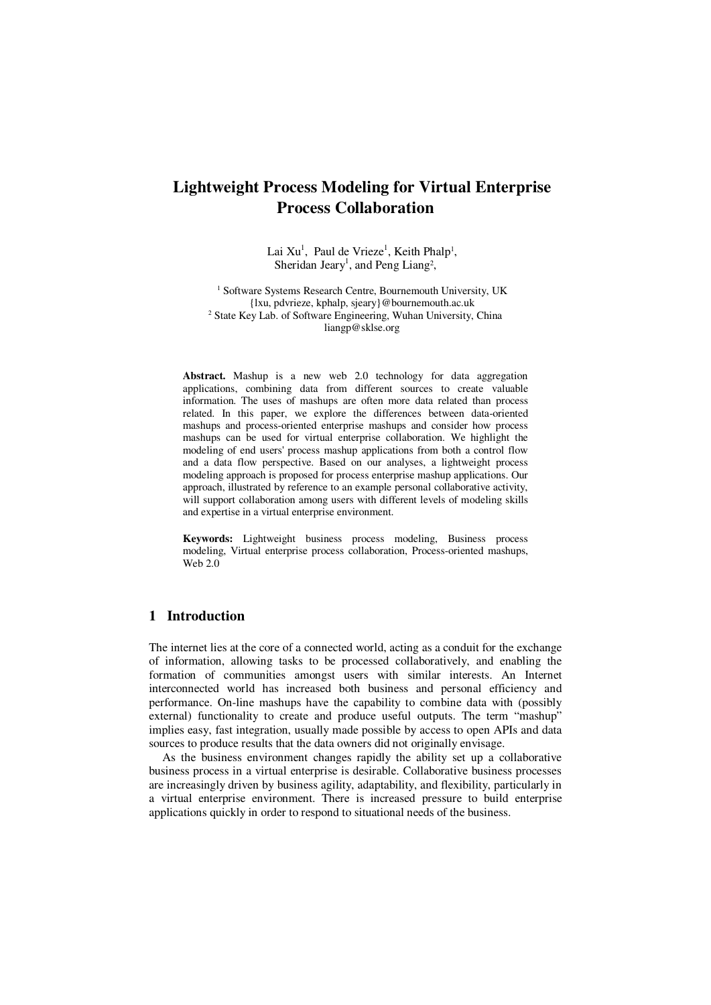# **Lightweight Process Modeling for Virtual Enterprise Process Collaboration**

Lai Xu<sup>1</sup>, Paul de Vrieze<sup>1</sup>, Keith Phalp<sup>1</sup>, Sheridan Jeary<sup>1</sup>, and Peng Liang<sup>2</sup>,

<sup>1</sup> Software Systems Research Centre, Bournemouth University, UK {lxu, pdvrieze, kphalp, sjeary}@bournemouth.ac.uk 2 State Key Lab. of Software Engineering, Wuhan University, China liangp@sklse.org

**Abstract.** Mashup is a new web 2.0 technology for data aggregation applications, combining data from different sources to create valuable information. The uses of mashups are often more data related than process related. In this paper, we explore the differences between data-oriented mashups and process-oriented enterprise mashups and consider how process mashups can be used for virtual enterprise collaboration. We highlight the modeling of end users' process mashup applications from both a control flow and a data flow perspective. Based on our analyses, a lightweight process modeling approach is proposed for process enterprise mashup applications. Our approach, illustrated by reference to an example personal collaborative activity, will support collaboration among users with different levels of modeling skills and expertise in a virtual enterprise environment.

**Keywords:** Lightweight business process modeling, Business process modeling, Virtual enterprise process collaboration, Process-oriented mashups, Web 2.0

# **1 Introduction**

The internet lies at the core of a connected world, acting as a conduit for the exchange of information, allowing tasks to be processed collaboratively, and enabling the formation of communities amongst users with similar interests. An Internet interconnected world has increased both business and personal efficiency and performance. On-line mashups have the capability to combine data with (possibly external) functionality to create and produce useful outputs. The term "mashup" implies easy, fast integration, usually made possible by access to open APIs and data sources to produce results that the data owners did not originally envisage.

As the business environment changes rapidly the ability set up a collaborative business process in a virtual enterprise is desirable. Collaborative business processes are increasingly driven by business agility, adaptability, and flexibility, particularly in a virtual enterprise environment. There is increased pressure to build enterprise applications quickly in order to respond to situational needs of the business.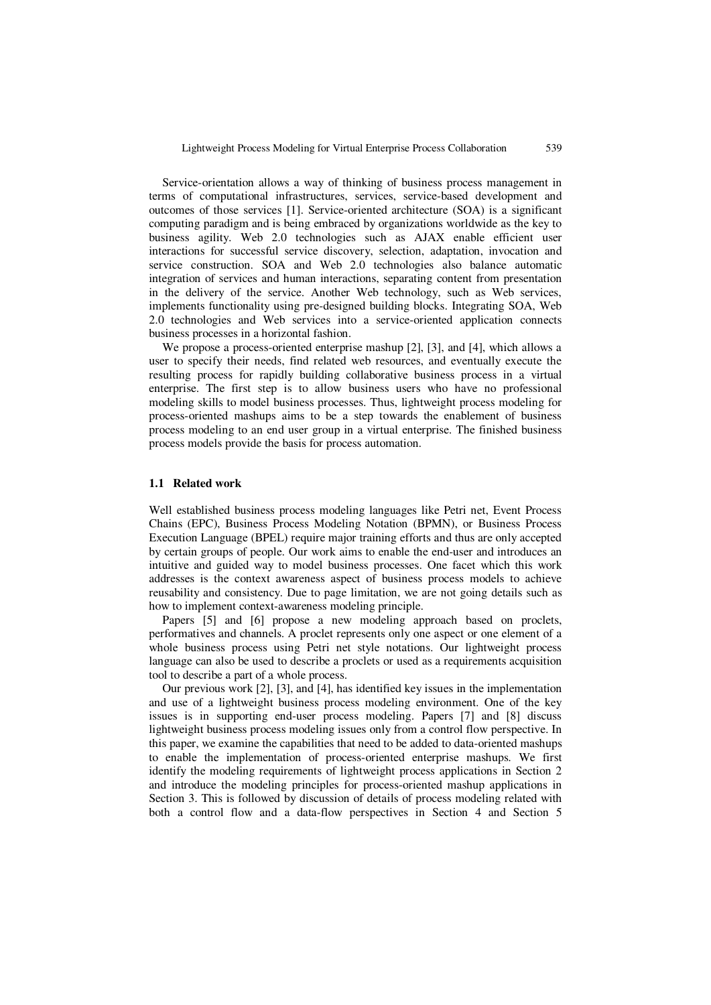Service-orientation allows a way of thinking of business process management in terms of computational infrastructures, services, service-based development and outcomes of those services [1]. Service-oriented architecture (SOA) is a significant computing paradigm and is being embraced by organizations worldwide as the key to business agility. Web 2.0 technologies such as AJAX enable efficient user interactions for successful service discovery, selection, adaptation, invocation and service construction. SOA and Web 2.0 technologies also balance automatic integration of services and human interactions, separating content from presentation in the delivery of the service. Another Web technology, such as Web services, implements functionality using pre-designed building blocks. Integrating SOA, Web 2.0 technologies and Web services into a service-oriented application connects business processes in a horizontal fashion.

We propose a process-oriented enterprise mashup [2], [3], and [4], which allows a user to specify their needs, find related web resources, and eventually execute the resulting process for rapidly building collaborative business process in a virtual enterprise. The first step is to allow business users who have no professional modeling skills to model business processes. Thus, lightweight process modeling for process-oriented mashups aims to be a step towards the enablement of business process modeling to an end user group in a virtual enterprise. The finished business process models provide the basis for process automation.

#### **1.1 Related work**

Well established business process modeling languages like Petri net, Event Process Chains (EPC), Business Process Modeling Notation (BPMN), or Business Process Execution Language (BPEL) require major training efforts and thus are only accepted by certain groups of people. Our work aims to enable the end-user and introduces an intuitive and guided way to model business processes. One facet which this work addresses is the context awareness aspect of business process models to achieve reusability and consistency. Due to page limitation, we are not going details such as how to implement context-awareness modeling principle.

Papers [5] and [6] propose a new modeling approach based on proclets, performatives and channels. A proclet represents only one aspect or one element of a whole business process using Petri net style notations. Our lightweight process language can also be used to describe a proclets or used as a requirements acquisition tool to describe a part of a whole process.

Our previous work [2], [3], and [4], has identified key issues in the implementation and use of a lightweight business process modeling environment. One of the key issues is in supporting end-user process modeling. Papers [7] and [8] discuss lightweight business process modeling issues only from a control flow perspective. In this paper, we examine the capabilities that need to be added to data-oriented mashups to enable the implementation of process-oriented enterprise mashups. We first identify the modeling requirements of lightweight process applications in Section 2 and introduce the modeling principles for process-oriented mashup applications in Section 3. This is followed by discussion of details of process modeling related with both a control flow and a data-flow perspectives in Section 4 and Section 5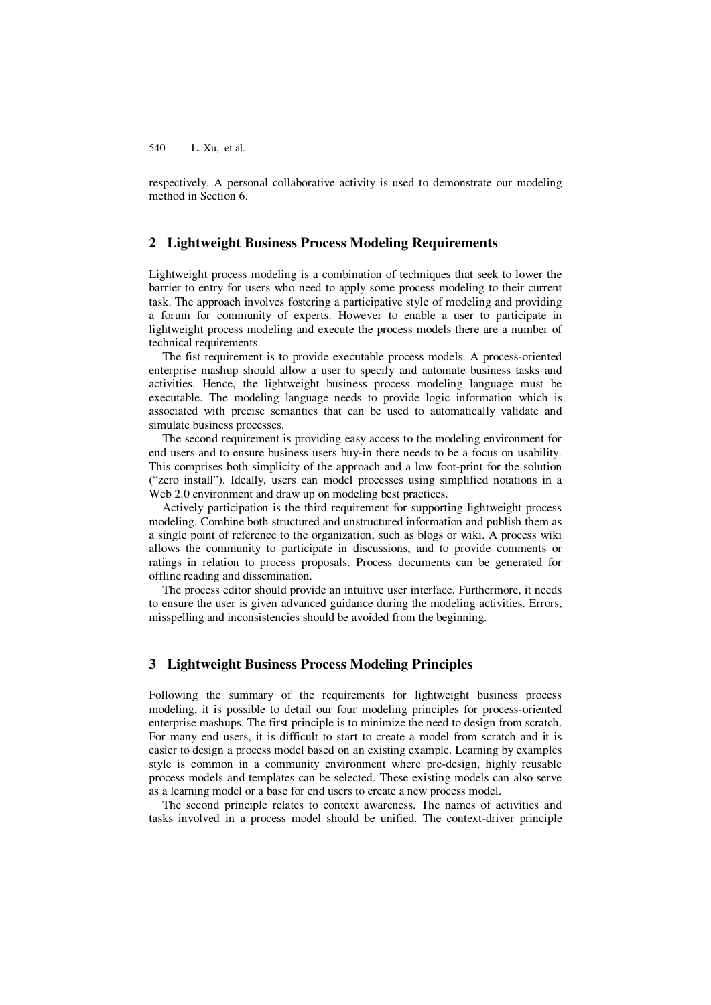540 L. Xu, et al.

respectively. A personal collaborative activity is used to demonstrate our modeling method in Section 6.

# **2 Lightweight Business Process Modeling Requirements**

Lightweight process modeling is a combination of techniques that seek to lower the barrier to entry for users who need to apply some process modeling to their current task. The approach involves fostering a participative style of modeling and providing a forum for community of experts. However to enable a user to participate in lightweight process modeling and execute the process models there are a number of technical requirements.

The fist requirement is to provide executable process models. A process-oriented enterprise mashup should allow a user to specify and automate business tasks and activities. Hence, the lightweight business process modeling language must be executable. The modeling language needs to provide logic information which is associated with precise semantics that can be used to automatically validate and simulate business processes.

The second requirement is providing easy access to the modeling environment for end users and to ensure business users buy-in there needs to be a focus on usability. This comprises both simplicity of the approach and a low foot-print for the solution ("zero install"). Ideally, users can model processes using simplified notations in a Web 2.0 environment and draw up on modeling best practices.

Actively participation is the third requirement for supporting lightweight process modeling. Combine both structured and unstructured information and publish them as a single point of reference to the organization, such as blogs or wiki. A process wiki allows the community to participate in discussions, and to provide comments or ratings in relation to process proposals. Process documents can be generated for offline reading and dissemination.

The process editor should provide an intuitive user interface. Furthermore, it needs to ensure the user is given advanced guidance during the modeling activities. Errors, misspelling and inconsistencies should be avoided from the beginning.

### **3 Lightweight Business Process Modeling Principles**

Following the summary of the requirements for lightweight business process modeling, it is possible to detail our four modeling principles for process-oriented enterprise mashups. The first principle is to minimize the need to design from scratch. For many end users, it is difficult to start to create a model from scratch and it is easier to design a process model based on an existing example. Learning by examples style is common in a community environment where pre-design, highly reusable process models and templates can be selected. These existing models can also serve as a learning model or a base for end users to create a new process model.

The second principle relates to context awareness. The names of activities and tasks involved in a process model should be unified. The context-driver principle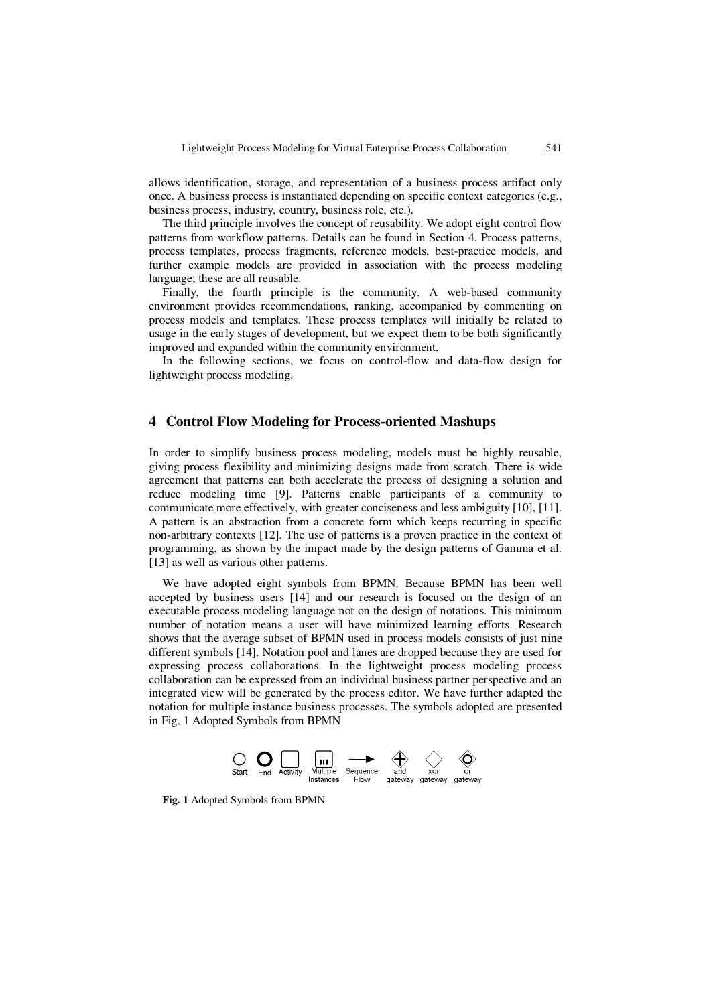allows identification, storage, and representation of a business process artifact only once. A business process is instantiated depending on specific context categories (e.g., business process, industry, country, business role, etc.).

The third principle involves the concept of reusability. We adopt eight control flow patterns from workflow patterns. Details can be found in Section 4. Process patterns, process templates, process fragments, reference models, best-practice models, and further example models are provided in association with the process modeling language; these are all reusable.

Finally, the fourth principle is the community. A web-based community environment provides recommendations, ranking, accompanied by commenting on process models and templates. These process templates will initially be related to usage in the early stages of development, but we expect them to be both significantly improved and expanded within the community environment.

In the following sections, we focus on control-flow and data-flow design for lightweight process modeling.

### **4 Control Flow Modeling for Process-oriented Mashups**

In order to simplify business process modeling, models must be highly reusable, giving process flexibility and minimizing designs made from scratch. There is wide agreement that patterns can both accelerate the process of designing a solution and reduce modeling time [9]. Patterns enable participants of a community to communicate more effectively, with greater conciseness and less ambiguity [10], [11]. A pattern is an abstraction from a concrete form which keeps recurring in specific non-arbitrary contexts [12]. The use of patterns is a proven practice in the context of programming, as shown by the impact made by the design patterns of Gamma et al. [13] as well as various other patterns.

We have adopted eight symbols from BPMN. Because BPMN has been well accepted by business users [14] and our research is focused on the design of an executable process modeling language not on the design of notations. This minimum number of notation means a user will have minimized learning efforts. Research shows that the average subset of BPMN used in process models consists of just nine different symbols [14]. Notation pool and lanes are dropped because they are used for expressing process collaborations. In the lightweight process modeling process collaboration can be expressed from an individual business partner perspective and an integrated view will be generated by the process editor. We have further adapted the notation for multiple instance business processes. The symbols adopted are presented in Fig. 1 Adopted Symbols from BPMN



**Fig. 1** Adopted Symbols from BPMN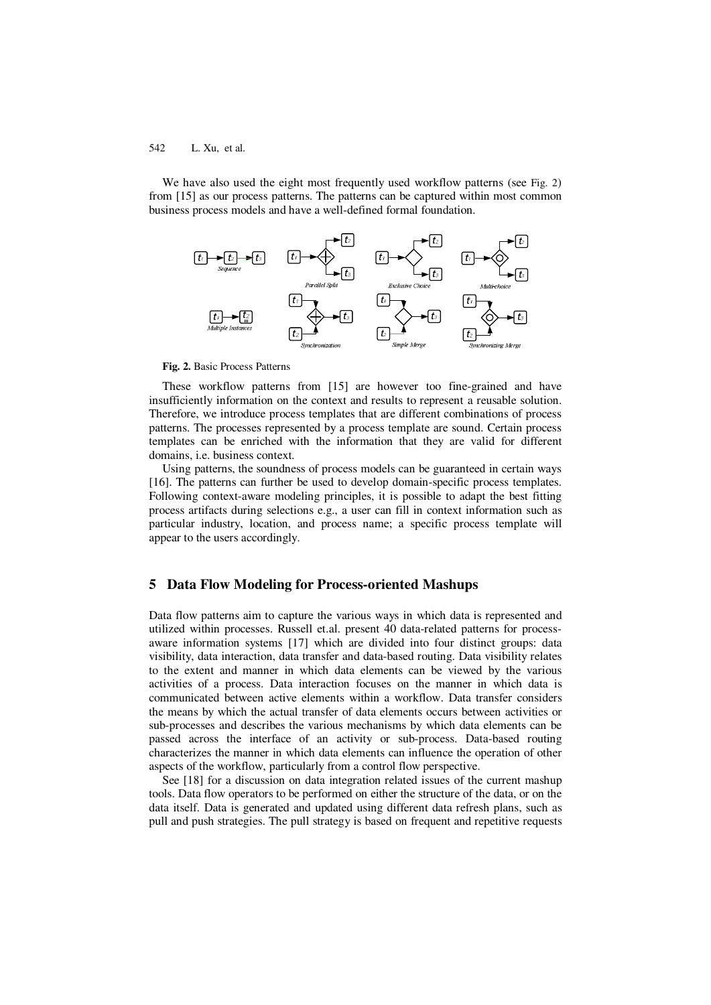#### 542 L. Xu, et al.

We have also used the eight most frequently used workflow patterns (see Fig. 2) from [15] as our process patterns. The patterns can be captured within most common business process models and have a well-defined formal foundation.



#### **Fig. 2.** Basic Process Patterns

These workflow patterns from [15] are however too fine-grained and have insufficiently information on the context and results to represent a reusable solution. Therefore, we introduce process templates that are different combinations of process patterns. The processes represented by a process template are sound. Certain process templates can be enriched with the information that they are valid for different domains, i.e. business context.

Using patterns, the soundness of process models can be guaranteed in certain ways [16]. The patterns can further be used to develop domain-specific process templates. Following context-aware modeling principles, it is possible to adapt the best fitting process artifacts during selections e.g., a user can fill in context information such as particular industry, location, and process name; a specific process template will appear to the users accordingly.

### **5 Data Flow Modeling for Process-oriented Mashups**

Data flow patterns aim to capture the various ways in which data is represented and utilized within processes. Russell et.al. present 40 data-related patterns for processaware information systems [17] which are divided into four distinct groups: data visibility, data interaction, data transfer and data-based routing. Data visibility relates to the extent and manner in which data elements can be viewed by the various activities of a process. Data interaction focuses on the manner in which data is communicated between active elements within a workflow. Data transfer considers the means by which the actual transfer of data elements occurs between activities or sub-processes and describes the various mechanisms by which data elements can be passed across the interface of an activity or sub-process. Data-based routing characterizes the manner in which data elements can influence the operation of other aspects of the workflow, particularly from a control flow perspective.

See [18] for a discussion on data integration related issues of the current mashup tools. Data flow operators to be performed on either the structure of the data, or on the data itself. Data is generated and updated using different data refresh plans, such as pull and push strategies. The pull strategy is based on frequent and repetitive requests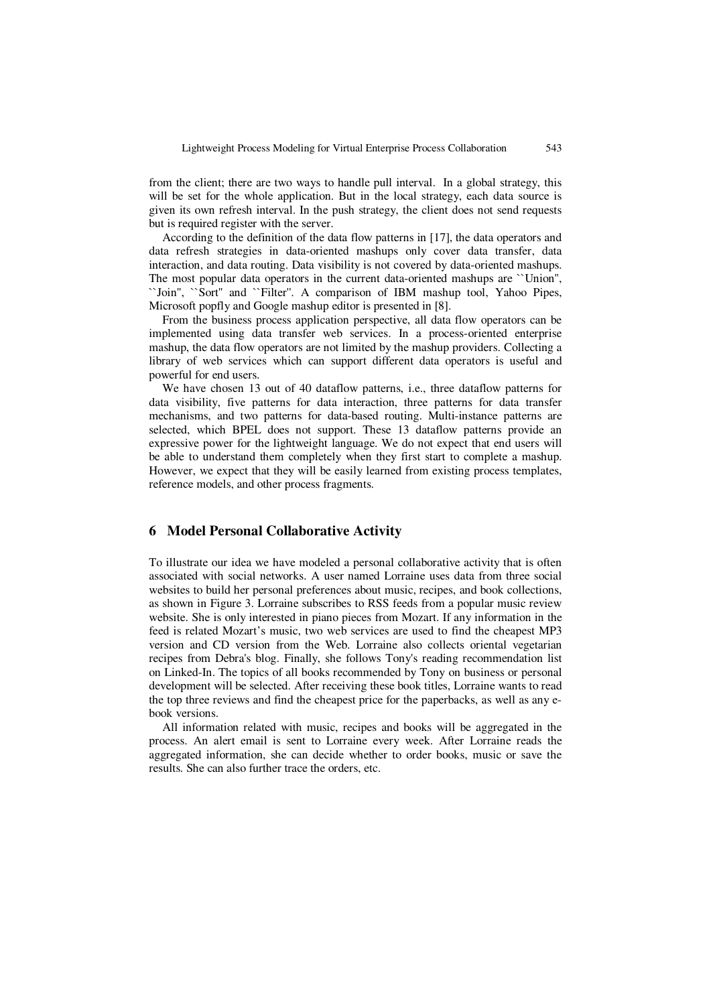from the client; there are two ways to handle pull interval. In a global strategy, this will be set for the whole application. But in the local strategy, each data source is given its own refresh interval. In the push strategy, the client does not send requests but is required register with the server.

According to the definition of the data flow patterns in [17], the data operators and data refresh strategies in data-oriented mashups only cover data transfer, data interaction, and data routing. Data visibility is not covered by data-oriented mashups. The most popular data operators in the current data-oriented mashups are ``Union'', ``Join'', ``Sort'' and ``Filter''. A comparison of IBM mashup tool, Yahoo Pipes, Microsoft popfly and Google mashup editor is presented in [8].

From the business process application perspective, all data flow operators can be implemented using data transfer web services. In a process-oriented enterprise mashup, the data flow operators are not limited by the mashup providers. Collecting a library of web services which can support different data operators is useful and powerful for end users.

We have chosen 13 out of 40 dataflow patterns, i.e., three dataflow patterns for data visibility, five patterns for data interaction, three patterns for data transfer mechanisms, and two patterns for data-based routing. Multi-instance patterns are selected, which BPEL does not support. These 13 dataflow patterns provide an expressive power for the lightweight language. We do not expect that end users will be able to understand them completely when they first start to complete a mashup. However, we expect that they will be easily learned from existing process templates, reference models, and other process fragments.

### **6 Model Personal Collaborative Activity**

To illustrate our idea we have modeled a personal collaborative activity that is often associated with social networks. A user named Lorraine uses data from three social websites to build her personal preferences about music, recipes, and book collections, as shown in Figure 3. Lorraine subscribes to RSS feeds from a popular music review website. She is only interested in piano pieces from Mozart. If any information in the feed is related Mozart's music, two web services are used to find the cheapest MP3 version and CD version from the Web. Lorraine also collects oriental vegetarian recipes from Debra's blog. Finally, she follows Tony's reading recommendation list on Linked-In. The topics of all books recommended by Tony on business or personal development will be selected. After receiving these book titles, Lorraine wants to read the top three reviews and find the cheapest price for the paperbacks, as well as any ebook versions.

All information related with music, recipes and books will be aggregated in the process. An alert email is sent to Lorraine every week. After Lorraine reads the aggregated information, she can decide whether to order books, music or save the results. She can also further trace the orders, etc.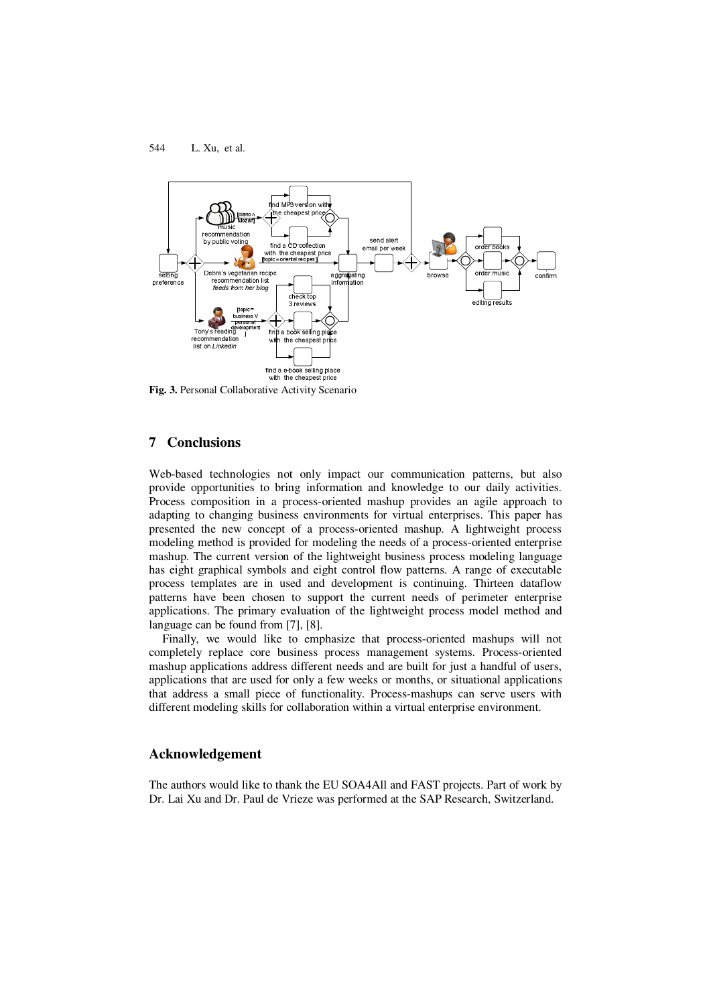544 L. Xu, et al.



**Fig. 3.** Personal Collaborative Activity Scenario

# **7 Conclusions**

Web-based technologies not only impact our communication patterns, but also provide opportunities to bring information and knowledge to our daily activities. Process composition in a process-oriented mashup provides an agile approach to adapting to changing business environments for virtual enterprises. This paper has presented the new concept of a process-oriented mashup. A lightweight process modeling method is provided for modeling the needs of a process-oriented enterprise mashup. The current version of the lightweight business process modeling language has eight graphical symbols and eight control flow patterns. A range of executable process templates are in used and development is continuing. Thirteen dataflow patterns have been chosen to support the current needs of perimeter enterprise applications. The primary evaluation of the lightweight process model method and language can be found from [7], [8].

Finally, we would like to emphasize that process-oriented mashups will not completely replace core business process management systems. Process-oriented mashup applications address different needs and are built for just a handful of users, applications that are used for only a few weeks or months, or situational applications that address a small piece of functionality. Process-mashups can serve users with different modeling skills for collaboration within a virtual enterprise environment.

# **Acknowledgement**

The authors would like to thank the EU SOA4All and FAST projects. Part of work by Dr. Lai Xu and Dr. Paul de Vrieze was performed at the SAP Research, Switzerland.